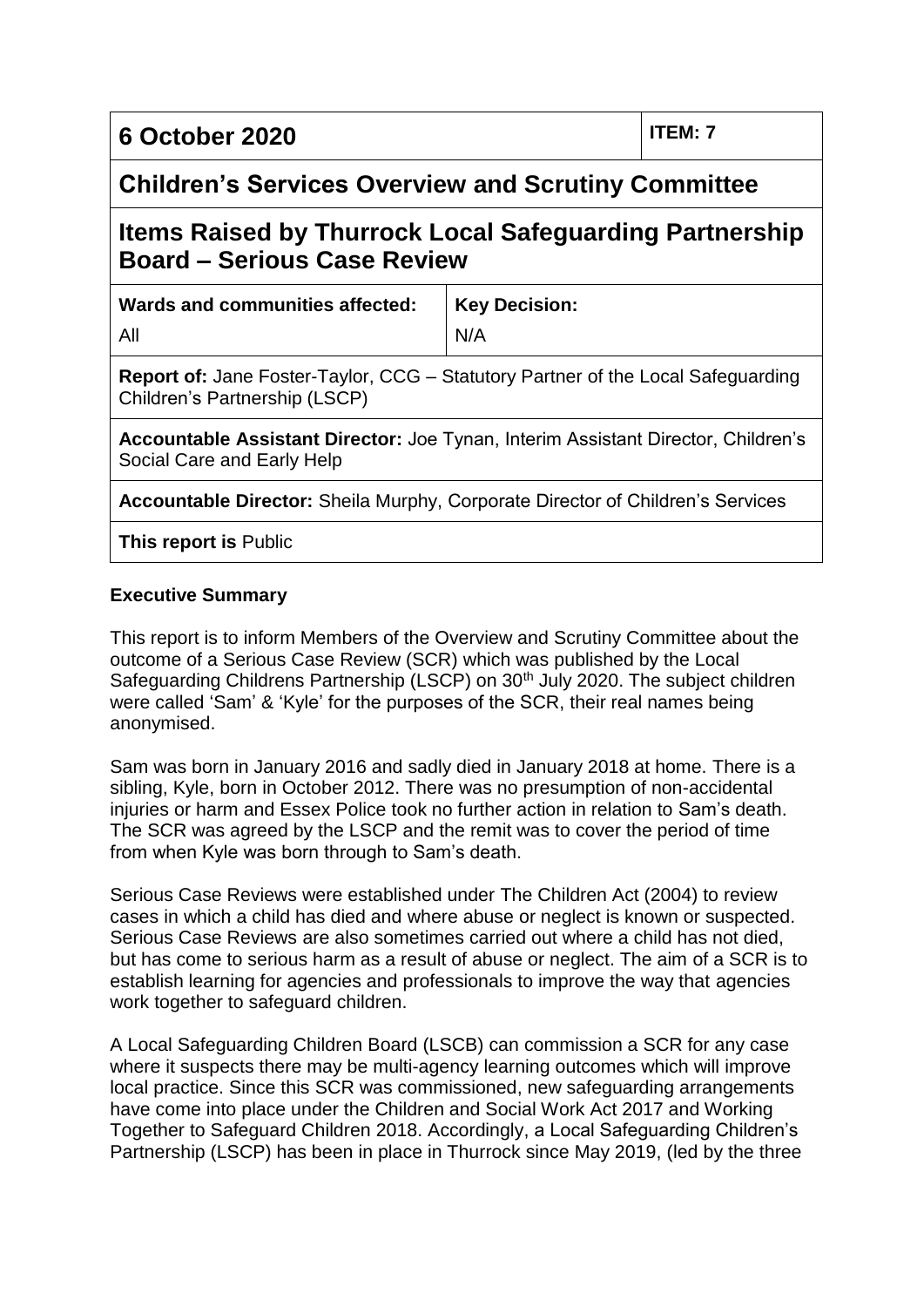**6 October 2020 ITEM: 7**

# **Children's Services Overview and Scrutiny Committee**

# **Items Raised by Thurrock Local Safeguarding Partnership Board – Serious Case Review**

**Wards and communities affected:**

**Key Decision:**

All

N/A

**Report of:** Jane Foster-Taylor, CCG – Statutory Partner of the Local Safeguarding Children's Partnership (LSCP)

**Accountable Assistant Director:** Joe Tynan, Interim Assistant Director, Children's Social Care and Early Help

**Accountable Director:** Sheila Murphy, Corporate Director of Children's Services

**This report is** Public

# **Executive Summary**

This report is to inform Members of the Overview and Scrutiny Committee about the outcome of a Serious Case Review (SCR) which was published by the Local Safeguarding Childrens Partnership (LSCP) on 30<sup>th</sup> July 2020. The subject children were called 'Sam' & 'Kyle' for the purposes of the SCR, their real names being anonymised.

Sam was born in January 2016 and sadly died in January 2018 at home. There is a sibling, Kyle, born in October 2012. There was no presumption of non-accidental injuries or harm and Essex Police took no further action in relation to Sam's death. The SCR was agreed by the LSCP and the remit was to cover the period of time from when Kyle was born through to Sam's death.

Serious Case Reviews were established under The Children Act (2004) to review cases in which a child has died and where abuse or neglect is known or suspected. Serious Case Reviews are also sometimes carried out where a child has not died, but has come to serious harm as a result of abuse or neglect. The aim of a SCR is to establish learning for agencies and professionals to improve the way that agencies work together to safeguard children.

A Local Safeguarding Children Board (LSCB) can commission a SCR for any case where it suspects there may be multi-agency learning outcomes which will improve local practice. Since this SCR was commissioned, new safeguarding arrangements have come into place under the Children and Social Work Act 2017 and Working Together to Safeguard Children 2018. Accordingly, a Local Safeguarding Children's Partnership (LSCP) has been in place in Thurrock since May 2019, (led by the three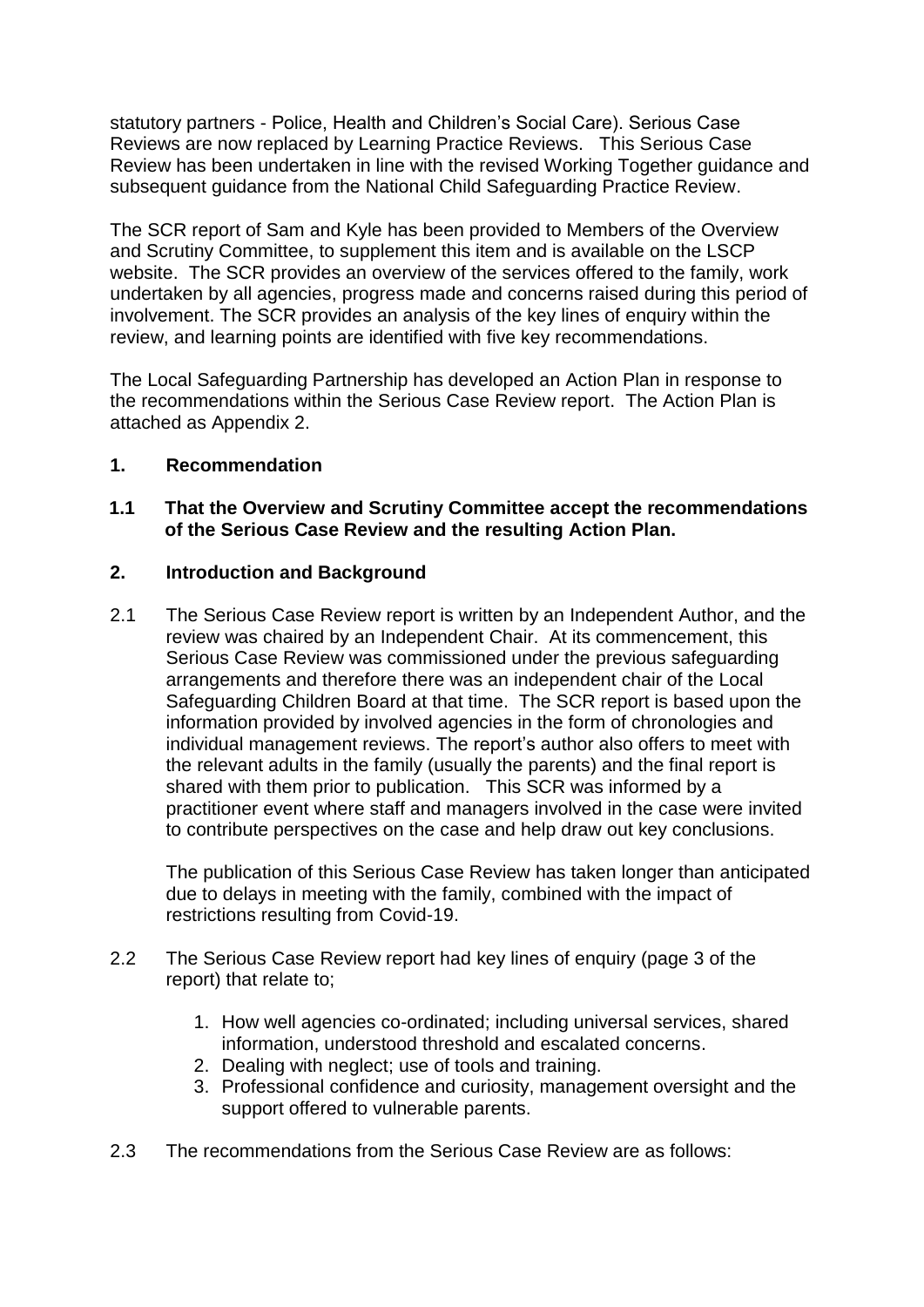statutory partners - Police, Health and Children's Social Care). Serious Case Reviews are now replaced by Learning Practice Reviews. This Serious Case Review has been undertaken in line with the revised Working Together guidance and subsequent guidance from the National Child Safeguarding Practice Review.

The SCR report of Sam and Kyle has been provided to Members of the Overview and Scrutiny Committee, to supplement this item and is available on the LSCP website. The SCR provides an overview of the services offered to the family, work undertaken by all agencies, progress made and concerns raised during this period of involvement. The SCR provides an analysis of the key lines of enquiry within the review, and learning points are identified with five key recommendations.

The Local Safeguarding Partnership has developed an Action Plan in response to the recommendations within the Serious Case Review report. The Action Plan is attached as Appendix 2.

## **1. Recommendation**

# **1.1 That the Overview and Scrutiny Committee accept the recommendations of the Serious Case Review and the resulting Action Plan.**

## **2. Introduction and Background**

2.1 The Serious Case Review report is written by an Independent Author, and the review was chaired by an Independent Chair. At its commencement, this Serious Case Review was commissioned under the previous safeguarding arrangements and therefore there was an independent chair of the Local Safeguarding Children Board at that time. The SCR report is based upon the information provided by involved agencies in the form of chronologies and individual management reviews. The report's author also offers to meet with the relevant adults in the family (usually the parents) and the final report is shared with them prior to publication. This SCR was informed by a practitioner event where staff and managers involved in the case were invited to contribute perspectives on the case and help draw out key conclusions.

The publication of this Serious Case Review has taken longer than anticipated due to delays in meeting with the family, combined with the impact of restrictions resulting from Covid-19.

- 2.2 The Serious Case Review report had key lines of enquiry (page 3 of the report) that relate to;
	- 1. How well agencies co-ordinated; including universal services, shared information, understood threshold and escalated concerns.
	- 2. Dealing with neglect; use of tools and training.
	- 3. Professional confidence and curiosity, management oversight and the support offered to vulnerable parents.
- 2.3 The recommendations from the Serious Case Review are as follows: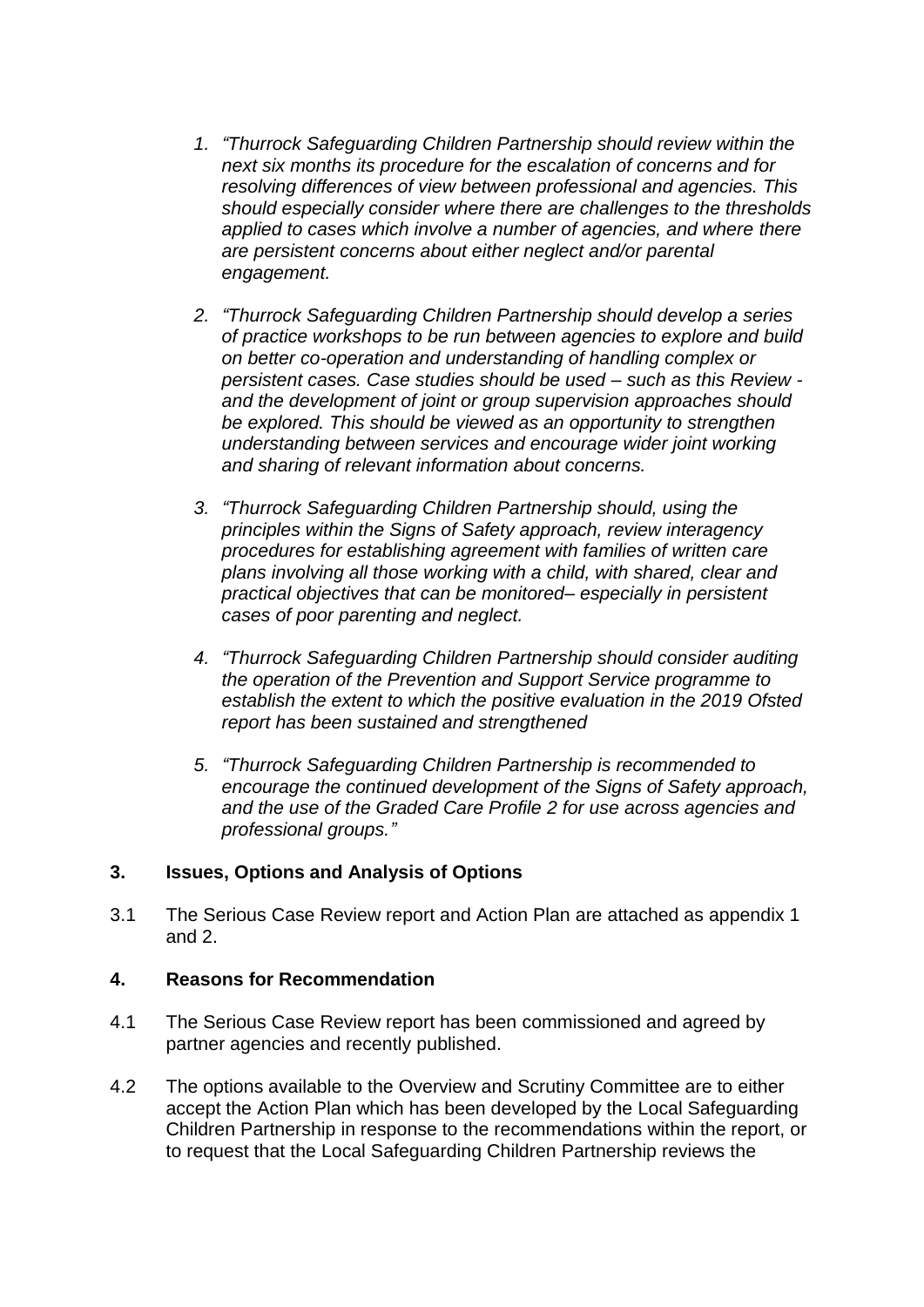- *1. "Thurrock Safeguarding Children Partnership should review within the next six months its procedure for the escalation of concerns and for resolving differences of view between professional and agencies. This should especially consider where there are challenges to the thresholds applied to cases which involve a number of agencies, and where there are persistent concerns about either neglect and/or parental engagement.*
- *2. "Thurrock Safeguarding Children Partnership should develop a series of practice workshops to be run between agencies to explore and build on better co-operation and understanding of handling complex or persistent cases. Case studies should be used – such as this Review and the development of joint or group supervision approaches should be explored. This should be viewed as an opportunity to strengthen understanding between services and encourage wider joint working and sharing of relevant information about concerns.*
- *3. "Thurrock Safeguarding Children Partnership should, using the principles within the Signs of Safety approach, review interagency procedures for establishing agreement with families of written care plans involving all those working with a child, with shared, clear and practical objectives that can be monitored– especially in persistent cases of poor parenting and neglect.*
- *4. "Thurrock Safeguarding Children Partnership should consider auditing the operation of the Prevention and Support Service programme to establish the extent to which the positive evaluation in the 2019 Ofsted report has been sustained and strengthened*
- *5. "Thurrock Safeguarding Children Partnership is recommended to encourage the continued development of the Signs of Safety approach, and the use of the Graded Care Profile 2 for use across agencies and professional groups."*

## **3. Issues, Options and Analysis of Options**

3.1 The Serious Case Review report and Action Plan are attached as appendix 1 and 2.

# **4. Reasons for Recommendation**

- 4.1 The Serious Case Review report has been commissioned and agreed by partner agencies and recently published.
- 4.2 The options available to the Overview and Scrutiny Committee are to either accept the Action Plan which has been developed by the Local Safeguarding Children Partnership in response to the recommendations within the report, or to request that the Local Safeguarding Children Partnership reviews the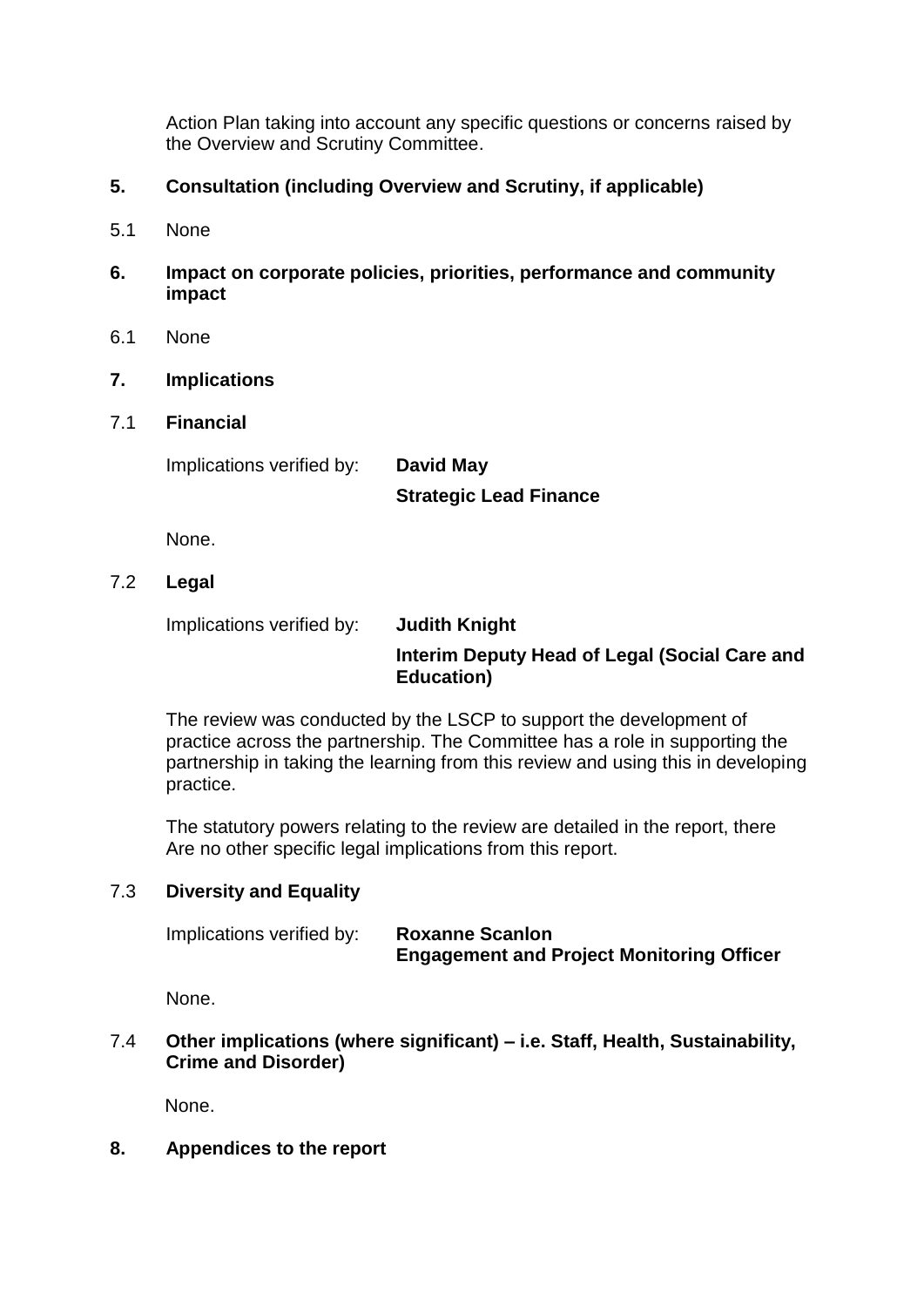Action Plan taking into account any specific questions or concerns raised by the Overview and Scrutiny Committee.

- **5. Consultation (including Overview and Scrutiny, if applicable)**
- 5.1 None
- **6. Impact on corporate policies, priorities, performance and community impact**
- 6.1 None

## **7. Implications**

7.1 **Financial**

Implications verified by: **David May**

**Strategic Lead Finance**

None.

## 7.2 **Legal**

Implications verified by: **Judith Knight** 

# **Interim Deputy Head of Legal (Social Care and Education)**

The review was conducted by the LSCP to support the development of practice across the partnership. The Committee has a role in supporting the partnership in taking the learning from this review and using this in developing practice.

The statutory powers relating to the review are detailed in the report, there Are no other specific legal implications from this report.

## 7.3 **Diversity and Equality**

| Implications verified by: | <b>Roxanne Scanlon</b>                           |
|---------------------------|--------------------------------------------------|
|                           | <b>Engagement and Project Monitoring Officer</b> |

None.

7.4 **Other implications (where significant) – i.e. Staff, Health, Sustainability, Crime and Disorder)**

None.

## **8. Appendices to the report**